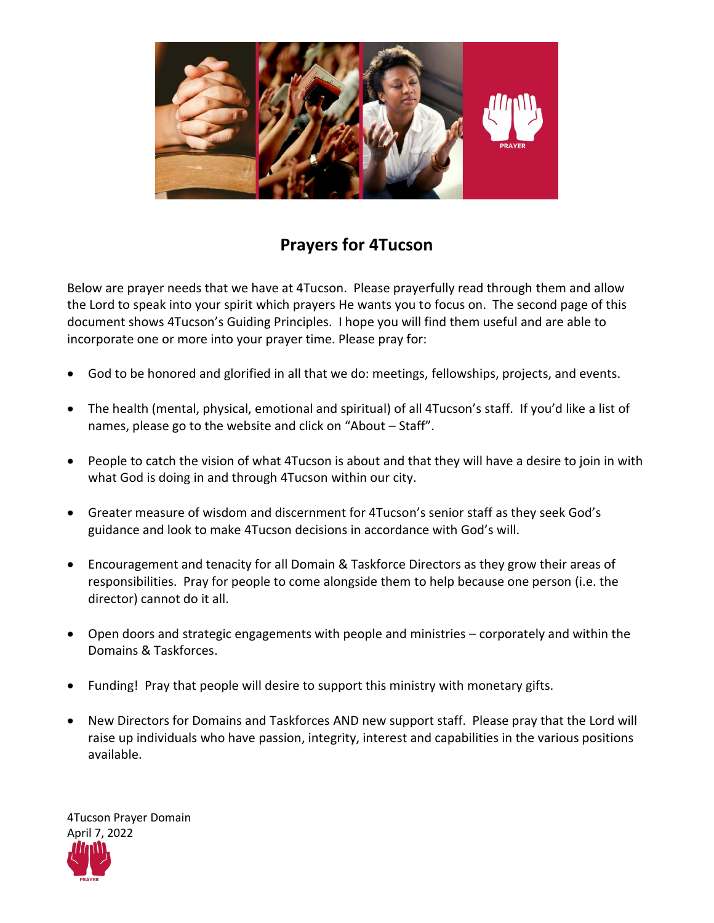

## **Prayers for 4Tucson**

Below are prayer needs that we have at 4Tucson. Please prayerfully read through them and allow the Lord to speak into your spirit which prayers He wants you to focus on. The second page of this document shows 4Tucson's Guiding Principles. I hope you will find them useful and are able to incorporate one or more into your prayer time. Please pray for:

- God to be honored and glorified in all that we do: meetings, fellowships, projects, and events.
- The health (mental, physical, emotional and spiritual) of all 4Tucson's staff. If you'd like a list of names, please go to the website and click on "About – Staff".
- People to catch the vision of what 4Tucson is about and that they will have a desire to join in with what God is doing in and through 4Tucson within our city.
- Greater measure of wisdom and discernment for 4Tucson's senior staff as they seek God's guidance and look to make 4Tucson decisions in accordance with God's will.
- Encouragement and tenacity for all Domain & Taskforce Directors as they grow their areas of responsibilities. Pray for people to come alongside them to help because one person (i.e. the director) cannot do it all.
- Open doors and strategic engagements with people and ministries corporately and within the Domains & Taskforces.
- Funding! Pray that people will desire to support this ministry with monetary gifts.
- New Directors for Domains and Taskforces AND new support staff. Please pray that the Lord will raise up individuals who have passion, integrity, interest and capabilities in the various positions available.

4Tucson Prayer Domain April 7, 2022